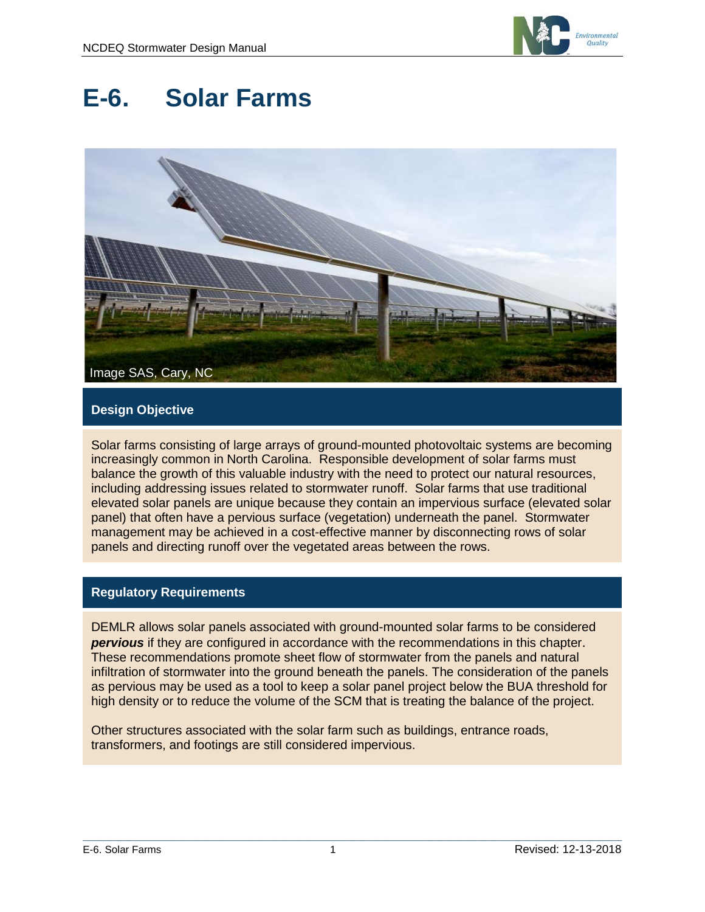

# **E-6. Solar Farms**



# **Design Objective**

Solar farms consisting of large arrays of ground-mounted photovoltaic systems are becoming increasingly common in North Carolina. Responsible development of solar farms must balance the growth of this valuable industry with the need to protect our natural resources, including addressing issues related to stormwater runoff. Solar farms that use traditional elevated solar panels are unique because they contain an impervious surface (elevated solar panel) that often have a pervious surface (vegetation) underneath the panel. Stormwater management may be achieved in a cost-effective manner by disconnecting rows of solar panels and directing runoff over the vegetated areas between the rows.

## **Regulatory Requirements**

DEMLR allows solar panels associated with ground-mounted solar farms to be considered *pervious* if they are configured in accordance with the recommendations in this chapter. These recommendations promote sheet flow of stormwater from the panels and natural infiltration of stormwater into the ground beneath the panels. The consideration of the panels as pervious may be used as a tool to keep a solar panel project below the BUA threshold for high density or to reduce the volume of the SCM that is treating the balance of the project.

Other structures associated with the solar farm such as buildings, entrance roads, transformers, and footings are still considered impervious.

 $\mathcal{L}_\mathcal{L} = \{ \mathcal{L}_\mathcal{L} = \{ \mathcal{L}_\mathcal{L} = \{ \mathcal{L}_\mathcal{L} = \{ \mathcal{L}_\mathcal{L} = \{ \mathcal{L}_\mathcal{L} = \{ \mathcal{L}_\mathcal{L} = \{ \mathcal{L}_\mathcal{L} = \{ \mathcal{L}_\mathcal{L} = \{ \mathcal{L}_\mathcal{L} = \{ \mathcal{L}_\mathcal{L} = \{ \mathcal{L}_\mathcal{L} = \{ \mathcal{L}_\mathcal{L} = \{ \mathcal{L}_\mathcal{L} = \{ \mathcal{L}_\mathcal{$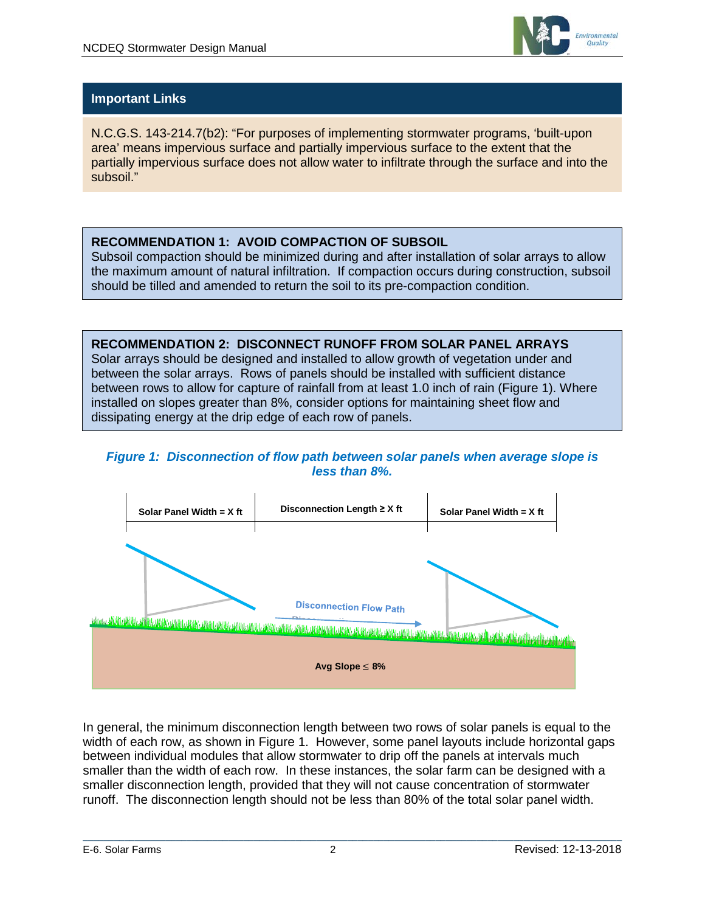

# **Important Links**

N.C.G.S. 143-214.7(b2): "For purposes of implementing stormwater programs, 'built-upon area' means impervious surface and partially impervious surface to the extent that the partially impervious surface does not allow water to infiltrate through the surface and into the subsoil."

# **RECOMMENDATION 1: AVOID COMPACTION OF SUBSOIL**

Subsoil compaction should be minimized during and after installation of solar arrays to allow the maximum amount of natural infiltration. If compaction occurs during construction, subsoil should be tilled and amended to return the soil to its pre-compaction condition.

**RECOMMENDATION 2: DISCONNECT RUNOFF FROM SOLAR PANEL ARRAYS** Solar arrays should be designed and installed to allow growth of vegetation under and between the solar arrays. Rows of panels should be installed with sufficient distance between rows to allow for capture of rainfall from at least 1.0 inch of rain (Figure 1). Where installed on slopes greater than 8%, consider options for maintaining sheet flow and dissipating energy at the drip edge of each row of panels.

#### *Figure 1: Disconnection of flow path between solar panels when average slope is less than 8%.*



In general, the minimum disconnection length between two rows of solar panels is equal to the width of each row, as shown in Figure 1. However, some panel layouts include horizontal gaps between individual modules that allow stormwater to drip off the panels at intervals much smaller than the width of each row. In these instances, the solar farm can be designed with a smaller disconnection length, provided that they will not cause concentration of stormwater runoff. The disconnection length should not be less than 80% of the total solar panel width.